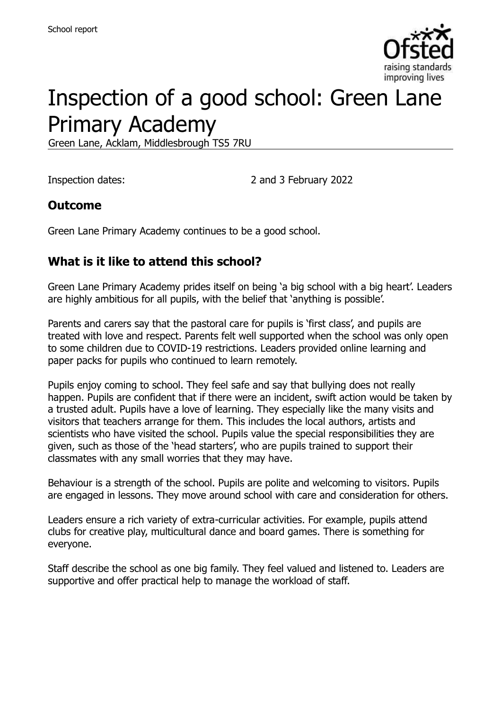

# Inspection of a good school: Green Lane Primary Academy

Green Lane, Acklam, Middlesbrough TS5 7RU

Inspection dates: 2 and 3 February 2022

### **Outcome**

Green Lane Primary Academy continues to be a good school.

# **What is it like to attend this school?**

Green Lane Primary Academy prides itself on being 'a big school with a big heart'. Leaders are highly ambitious for all pupils, with the belief that 'anything is possible'.

Parents and carers say that the pastoral care for pupils is 'first class', and pupils are treated with love and respect. Parents felt well supported when the school was only open to some children due to COVID-19 restrictions. Leaders provided online learning and paper packs for pupils who continued to learn remotely.

Pupils enjoy coming to school. They feel safe and say that bullying does not really happen. Pupils are confident that if there were an incident, swift action would be taken by a trusted adult. Pupils have a love of learning. They especially like the many visits and visitors that teachers arrange for them. This includes the local authors, artists and scientists who have visited the school. Pupils value the special responsibilities they are given, such as those of the 'head starters', who are pupils trained to support their classmates with any small worries that they may have.

Behaviour is a strength of the school. Pupils are polite and welcoming to visitors. Pupils are engaged in lessons. They move around school with care and consideration for others.

Leaders ensure a rich variety of extra-curricular activities. For example, pupils attend clubs for creative play, multicultural dance and board games. There is something for everyone.

Staff describe the school as one big family. They feel valued and listened to. Leaders are supportive and offer practical help to manage the workload of staff.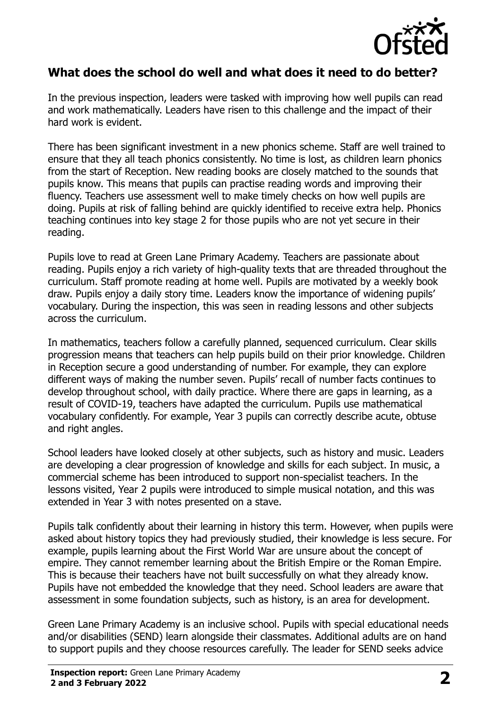

#### **What does the school do well and what does it need to do better?**

In the previous inspection, leaders were tasked with improving how well pupils can read and work mathematically. Leaders have risen to this challenge and the impact of their hard work is evident.

There has been significant investment in a new phonics scheme. Staff are well trained to ensure that they all teach phonics consistently. No time is lost, as children learn phonics from the start of Reception. New reading books are closely matched to the sounds that pupils know. This means that pupils can practise reading words and improving their fluency. Teachers use assessment well to make timely checks on how well pupils are doing. Pupils at risk of falling behind are quickly identified to receive extra help. Phonics teaching continues into key stage 2 for those pupils who are not yet secure in their reading.

Pupils love to read at Green Lane Primary Academy. Teachers are passionate about reading. Pupils enjoy a rich variety of high-quality texts that are threaded throughout the curriculum. Staff promote reading at home well. Pupils are motivated by a weekly book draw. Pupils enjoy a daily story time. Leaders know the importance of widening pupils' vocabulary. During the inspection, this was seen in reading lessons and other subjects across the curriculum.

In mathematics, teachers follow a carefully planned, sequenced curriculum. Clear skills progression means that teachers can help pupils build on their prior knowledge. Children in Reception secure a good understanding of number. For example, they can explore different ways of making the number seven. Pupils' recall of number facts continues to develop throughout school, with daily practice. Where there are gaps in learning, as a result of COVID-19, teachers have adapted the curriculum. Pupils use mathematical vocabulary confidently. For example, Year 3 pupils can correctly describe acute, obtuse and right angles.

School leaders have looked closely at other subjects, such as history and music. Leaders are developing a clear progression of knowledge and skills for each subject. In music, a commercial scheme has been introduced to support non-specialist teachers. In the lessons visited, Year 2 pupils were introduced to simple musical notation, and this was extended in Year 3 with notes presented on a stave.

Pupils talk confidently about their learning in history this term. However, when pupils were asked about history topics they had previously studied, their knowledge is less secure. For example, pupils learning about the First World War are unsure about the concept of empire. They cannot remember learning about the British Empire or the Roman Empire. This is because their teachers have not built successfully on what they already know. Pupils have not embedded the knowledge that they need. School leaders are aware that assessment in some foundation subjects, such as history, is an area for development.

Green Lane Primary Academy is an inclusive school. Pupils with special educational needs and/or disabilities (SEND) learn alongside their classmates. Additional adults are on hand to support pupils and they choose resources carefully. The leader for SEND seeks advice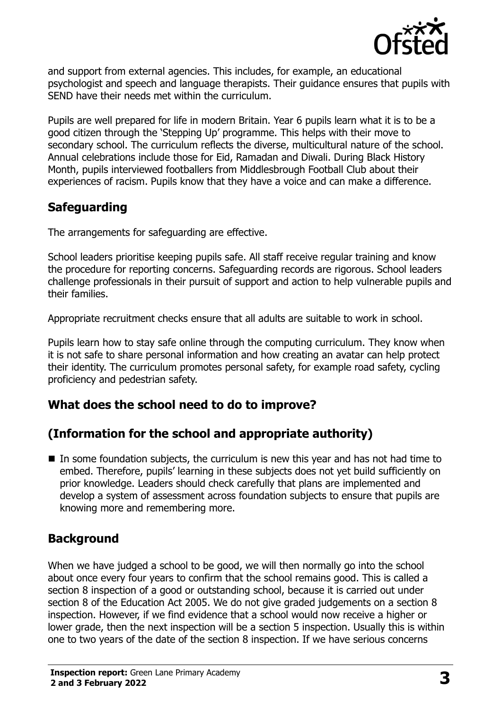

and support from external agencies. This includes, for example, an educational psychologist and speech and language therapists. Their guidance ensures that pupils with SEND have their needs met within the curriculum.

Pupils are well prepared for life in modern Britain. Year 6 pupils learn what it is to be a good citizen through the 'Stepping Up' programme. This helps with their move to secondary school. The curriculum reflects the diverse, multicultural nature of the school. Annual celebrations include those for Eid, Ramadan and Diwali. During Black History Month, pupils interviewed footballers from Middlesbrough Football Club about their experiences of racism. Pupils know that they have a voice and can make a difference.

# **Safeguarding**

The arrangements for safeguarding are effective.

School leaders prioritise keeping pupils safe. All staff receive regular training and know the procedure for reporting concerns. Safeguarding records are rigorous. School leaders challenge professionals in their pursuit of support and action to help vulnerable pupils and their families.

Appropriate recruitment checks ensure that all adults are suitable to work in school.

Pupils learn how to stay safe online through the computing curriculum. They know when it is not safe to share personal information and how creating an avatar can help protect their identity. The curriculum promotes personal safety, for example road safety, cycling proficiency and pedestrian safety.

# **What does the school need to do to improve?**

# **(Information for the school and appropriate authority)**

■ In some foundation subjects, the curriculum is new this year and has not had time to embed. Therefore, pupils' learning in these subjects does not yet build sufficiently on prior knowledge. Leaders should check carefully that plans are implemented and develop a system of assessment across foundation subjects to ensure that pupils are knowing more and remembering more.

### **Background**

When we have judged a school to be good, we will then normally go into the school about once every four years to confirm that the school remains good. This is called a section 8 inspection of a good or outstanding school, because it is carried out under section 8 of the Education Act 2005. We do not give graded judgements on a section 8 inspection. However, if we find evidence that a school would now receive a higher or lower grade, then the next inspection will be a section 5 inspection. Usually this is within one to two years of the date of the section 8 inspection. If we have serious concerns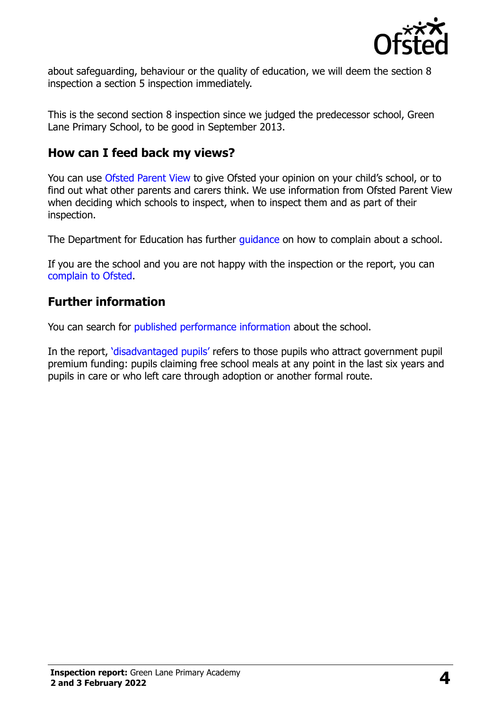

about safeguarding, behaviour or the quality of education, we will deem the section 8 inspection a section 5 inspection immediately.

This is the second section 8 inspection since we judged the predecessor school, Green Lane Primary School, to be good in September 2013.

#### **How can I feed back my views?**

You can use [Ofsted Parent View](https://parentview.ofsted.gov.uk/) to give Ofsted your opinion on your child's school, or to find out what other parents and carers think. We use information from Ofsted Parent View when deciding which schools to inspect, when to inspect them and as part of their inspection.

The Department for Education has further [guidance](http://www.gov.uk/complain-about-school) on how to complain about a school.

If you are the school and you are not happy with the inspection or the report, you can [complain to Ofsted.](https://www.gov.uk/complain-ofsted-report)

#### **Further information**

You can search for [published performance information](http://www.compare-school-performance.service.gov.uk/) about the school.

In the report, '[disadvantaged pupils](http://www.gov.uk/guidance/pupil-premium-information-for-schools-and-alternative-provision-settings)' refers to those pupils who attract government pupil premium funding: pupils claiming free school meals at any point in the last six years and pupils in care or who left care through adoption or another formal route.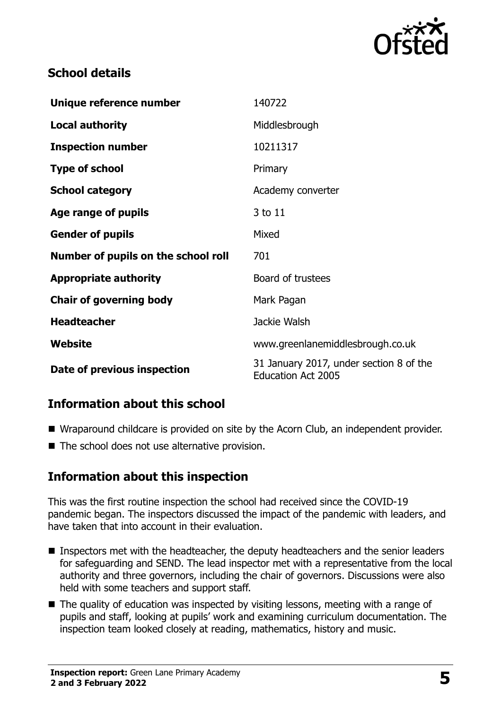

## **School details**

| Unique reference number             | 140722                                                               |
|-------------------------------------|----------------------------------------------------------------------|
| <b>Local authority</b>              | Middlesbrough                                                        |
| <b>Inspection number</b>            | 10211317                                                             |
| <b>Type of school</b>               | Primary                                                              |
| <b>School category</b>              | Academy converter                                                    |
| Age range of pupils                 | 3 to 11                                                              |
| <b>Gender of pupils</b>             | Mixed                                                                |
| Number of pupils on the school roll | 701                                                                  |
| <b>Appropriate authority</b>        | Board of trustees                                                    |
| <b>Chair of governing body</b>      | Mark Pagan                                                           |
| <b>Headteacher</b>                  | Jackie Walsh                                                         |
| Website                             | www.greenlanemiddlesbrough.co.uk                                     |
| Date of previous inspection         | 31 January 2017, under section 8 of the<br><b>Education Act 2005</b> |

# **Information about this school**

- Wraparound childcare is provided on site by the Acorn Club, an independent provider.
- The school does not use alternative provision.

### **Information about this inspection**

This was the first routine inspection the school had received since the COVID-19 pandemic began. The inspectors discussed the impact of the pandemic with leaders, and have taken that into account in their evaluation.

- Inspectors met with the headteacher, the deputy headteachers and the senior leaders for safeguarding and SEND. The lead inspector met with a representative from the local authority and three governors, including the chair of governors. Discussions were also held with some teachers and support staff.
- The quality of education was inspected by visiting lessons, meeting with a range of pupils and staff, looking at pupils' work and examining curriculum documentation. The inspection team looked closely at reading, mathematics, history and music.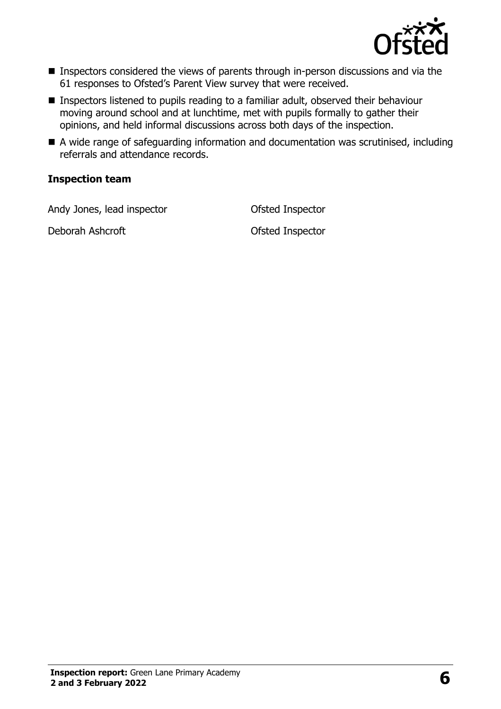

- Inspectors considered the views of parents through in-person discussions and via the 61 responses to Ofsted's Parent View survey that were received.
- Inspectors listened to pupils reading to a familiar adult, observed their behaviour moving around school and at lunchtime, met with pupils formally to gather their opinions, and held informal discussions across both days of the inspection.
- A wide range of safeguarding information and documentation was scrutinised, including referrals and attendance records.

#### **Inspection team**

Andy Jones, lead inspector **Contact Contact Contact Contact Contact Contact Contact Contact Contact Contact Contact Contact Contact Contact Contact Contact Contact Contact Contact Contact Contact Contact Contact Contact Co** 

Deborah Ashcroft **Deborah Ashcroft Constanting Constanting Ofsted Inspector**